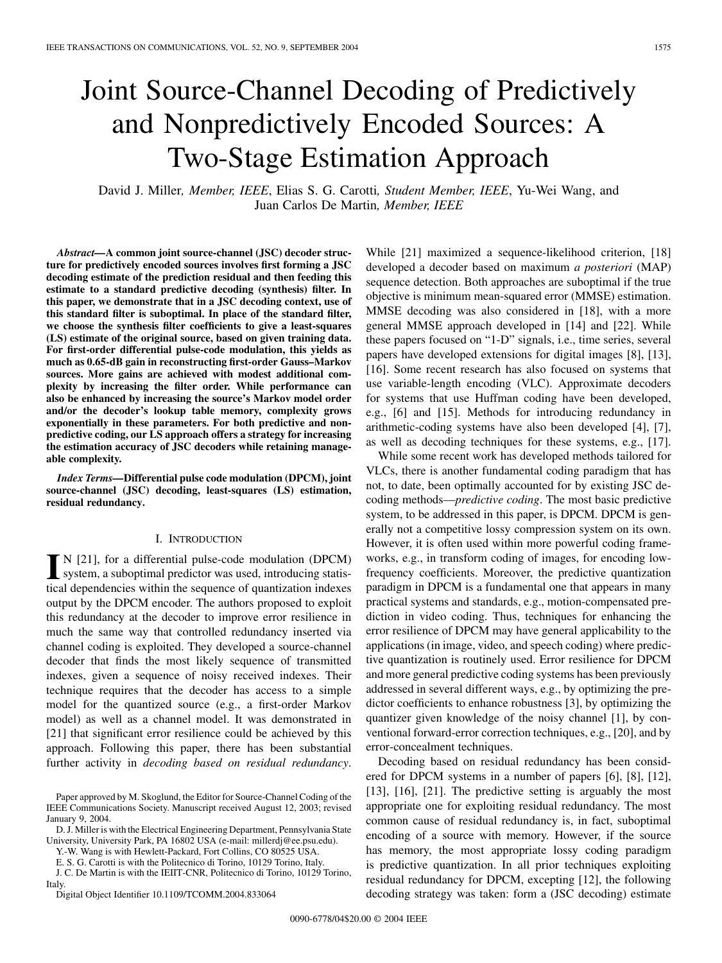# Joint Source-Channel Decoding of Predictively and Nonpredictively Encoded Sources: A Two-Stage Estimation Approach

David J. Miller*, Member, IEEE*, Elias S. G. Carotti*, Student Member, IEEE*, Yu-Wei Wang, and Juan Carlos De Martin*, Member, IEEE*

*Abstract—***A common joint source-channel (JSC) decoder structure for predictively encoded sources involves first forming a JSC decoding estimate of the prediction residual and then feeding this estimate to a standard predictive decoding (synthesis) filter. In this paper, we demonstrate that in a JSC decoding context, use of this standard filter is suboptimal. In place of the standard filter, we choose the synthesis filter coefficients to give a least-squares (LS) estimate of the original source, based on given training data. For first-order differential pulse-code modulation, this yields as much as 0.65-dB gain in reconstructing first-order Gauss–Markov sources. More gains are achieved with modest additional complexity by increasing the filter order. While performance can also be enhanced by increasing the source's Markov model order and/or the decoder's lookup table memory, complexity grows exponentially in these parameters. For both predictive and nonpredictive coding, our LS approach offers a strategy for increasing the estimation accuracy of JSC decoders while retaining manageable complexity.**

*Index Terms—***Differential pulse code modulation (DPCM), joint source-channel (JSC) decoding, least-squares (LS) estimation, residual redundancy.**

#### I. INTRODUCTION

**I** N [\[21](#page-8-0)], for a differential pulse-code modulation (DPCM) system, a suboptimal predictor was used, introducing statistical dependencies within the sequence of quantization indexes output by the DPCM encoder. The authors proposed to exploit this redundancy at the decoder to improve error resilience in much the same way that controlled redundancy inserted via channel coding is exploited. They developed a source-channel decoder that finds the most likely sequence of transmitted indexes, given a sequence of noisy received indexes. Their technique requires that the decoder has access to a simple model for the quantized source (e.g., a first-order Markov model) as well as a channel model. It was demonstrated in [\[21](#page-8-0)] that significant error resilience could be achieved by this approach. Following this paper, there has been substantial further activity in *decoding based on residual redundancy*.

Y.-W. Wang is with Hewlett-Packard, Fort Collins, CO 80525 USA.

E. S. G. Carotti is with the Politecnico di Torino, 10129 Torino, Italy.

J. C. De Martin is with the IEIIT-CNR, Politecnico di Torino, 10129 Torino, **Italy** 

Digital Object Identifier 10.1109/TCOMM.2004.833064

While [[21\]](#page-8-0) maximized a sequence-likelihood criterion, [[18\]](#page-8-0) developed a decoder based on maximum *a posteriori* (MAP) sequence detection. Both approaches are suboptimal if the true objective is minimum mean-squared error (MMSE) estimation. MMSE decoding was also considered in [\[18](#page-8-0)], with a more general MMSE approach developed in [[14\]](#page-8-0) and [[22\]](#page-8-0). While these papers focused on "1-D" signals, i.e., time series, several papers have developed extensions for digital images [\[8](#page-8-0)], [\[13](#page-8-0)], [\[16](#page-8-0)]. Some recent research has also focused on systems that use variable-length encoding (VLC). Approximate decoders for systems that use Huffman coding have been developed, e.g., [[6\]](#page-8-0) and [\[15](#page-8-0)]. Methods for introducing redundancy in arithmetic-coding systems have also been developed [[4](#page-8-0)], [\[7](#page-8-0)], as well as decoding techniques for these systems, e.g., [\[17](#page-8-0)].

While some recent work has developed methods tailored for VLCs, there is another fundamental coding paradigm that has not, to date, been optimally accounted for by existing JSC decoding methods—*predictive coding*. The most basic predictive system, to be addressed in this paper, is DPCM. DPCM is generally not a competitive lossy compression system on its own. However, it is often used within more powerful coding frameworks, e.g., in transform coding of images, for encoding lowfrequency coefficients. Moreover, the predictive quantization paradigm in DPCM is a fundamental one that appears in many practical systems and standards, e.g., motion-compensated prediction in video coding. Thus, techniques for enhancing the error resilience of DPCM may have general applicability to the applications (in image, video, and speech coding) where predictive quantization is routinely used. Error resilience for DPCM and more general predictive coding systems has been previously addressed in several different ways, e.g., by optimizing the predictor coefficients to enhance robustness [\[3](#page-8-0)], by optimizing the quantizer given knowledge of the noisy channel [\[1](#page-8-0)], by conventional forward-error correction techniques, e.g., [\[20\]](#page-8-0), and by error-concealment techniques.

Decoding based on residual redundancy has been considered for DPCM systems in a number of papers [\[6](#page-8-0)], [[8\]](#page-8-0), [\[12](#page-8-0)], [\[13](#page-8-0)], [[16\]](#page-8-0), [\[21](#page-8-0)]. The predictive setting is arguably the most appropriate one for exploiting residual redundancy. The most common cause of residual redundancy is, in fact, suboptimal encoding of a source with memory. However, if the source has memory, the most appropriate lossy coding paradigm is predictive quantization. In all prior techniques exploiting residual redundancy for DPCM, excepting [\[12](#page-8-0)], the following decoding strategy was taken: form a (JSC decoding) estimate

Paper approved by M. Skoglund, the Editor for Source-Channel Coding of the IEEE Communications Society. Manuscript received August 12, 2003; revised January 9, 2004.

D. J. Miller is with the Electrical Engineering Department, Pennsylvania State University, University Park, PA 16802 USA (e-mail: millerdj@ee.psu.edu).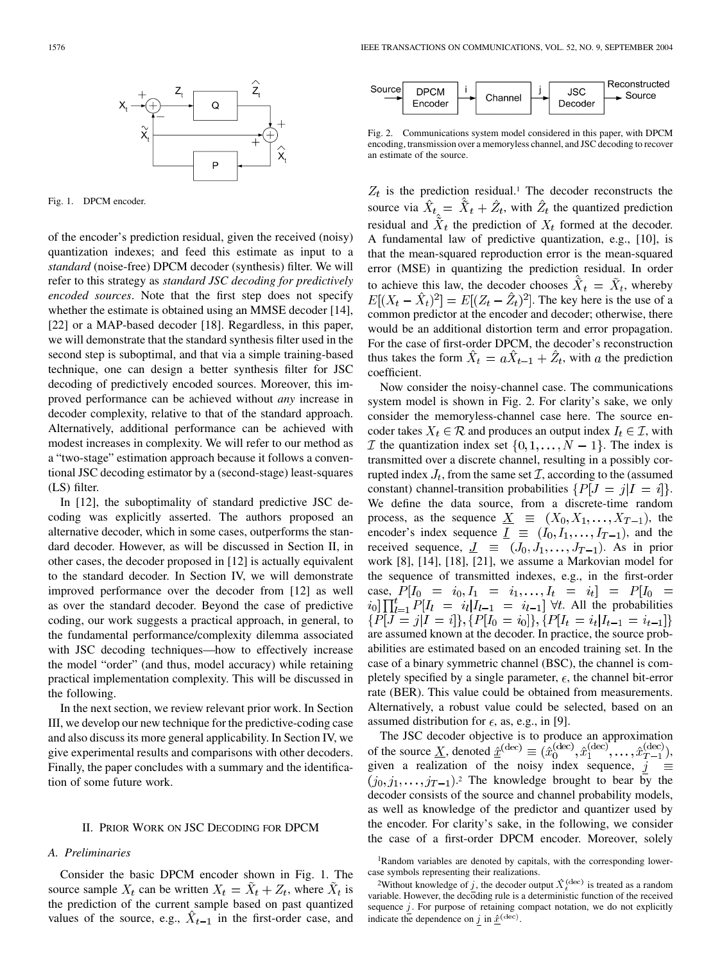

Fig. 1. DPCM encoder.

of the encoder's prediction residual, given the received (noisy) quantization indexes; and feed this estimate as input to a *standard* (noise-free) DPCM decoder (synthesis) filter. We will refer to this strategy as *standard JSC decoding for predictively encoded sources*. Note that the first step does not specify whether the estimate is obtained using an MMSE decoder [[14\]](#page-8-0), [[22\]](#page-8-0) or a MAP-based decoder [[18\]](#page-8-0). Regardless, in this paper, we will demonstrate that the standard synthesis filter used in the second step is suboptimal, and that via a simple training-based technique, one can design a better synthesis filter for JSC decoding of predictively encoded sources. Moreover, this improved performance can be achieved without *any* increase in decoder complexity, relative to that of the standard approach. Alternatively, additional performance can be achieved with modest increases in complexity. We will refer to our method as a "two-stage" estimation approach because it follows a conventional JSC decoding estimator by a (second-stage) least-squares (LS) filter.

In [[12\]](#page-8-0), the suboptimality of standard predictive JSC decoding was explicitly asserted. The authors proposed an alternative decoder, which in some cases, outperforms the standard decoder. However, as will be discussed in Section II, in other cases, the decoder proposed in [\[12](#page-8-0)] is actually equivalent to the standard decoder. In Section IV, we will demonstrate improved performance over the decoder from [[12\]](#page-8-0) as well as over the standard decoder. Beyond the case of predictive coding, our work suggests a practical approach, in general, to the fundamental performance/complexity dilemma associated with JSC decoding techniques—how to effectively increase the model "order" (and thus, model accuracy) while retaining practical implementation complexity. This will be discussed in the following.

In the next section, we review relevant prior work. In Section III, we develop our new technique for the predictive-coding case and also discuss its more general applicability. In Section IV, we give experimental results and comparisons with other decoders. Finally, the paper concludes with a summary and the identification of some future work.

## II. PRIOR WORK ON JSC DECODING FOR DPCM

## *A. Preliminaries*

Consider the basic DPCM encoder shown in Fig. 1. The source sample  $X_t$  can be written  $X_t = \tilde{X}_t + Z_t$ , where  $\tilde{X}_t$  is the prediction of the current sample based on past quantized values of the source, e.g.,  $\hat{X}_{t-1}$  in the first-order case, and



Fig. 2. Communications system model considered in this paper, with DPCM encoding, transmission over a memoryless channel, and JSC decoding to recover an estimate of the source.

 $Z_t$  is the prediction residual.<sup>1</sup> The decoder reconstructs the source via  $\hat{X}_{t_n} = \tilde{X}_t + \hat{Z}_t$ , with  $\hat{Z}_t$  the quantized prediction residual and  $\tilde{X}_t$  the prediction of  $X_t$  formed at the decoder. A fundamental law of predictive quantization, e.g., [[10\]](#page-8-0), is that the mean-squared reproduction error is the mean-squared error (MSE) in quantizing the prediction residual. In order to achieve this law, the decoder chooses  $X_t = X_t$ , whereby . The key here is the use of a common predictor at the encoder and decoder; otherwise, there would be an additional distortion term and error propagation. For the case of first-order DPCM, the decoder's reconstruction thus takes the form  $\ddot{X}_t = a\ddot{X}_{t-1} + \ddot{Z}_t$ , with a the prediction coefficient.

Now consider the noisy-channel case. The communications system model is shown in Fig. 2. For clarity's sake, we only consider the memoryless-channel case here. The source encoder takes  $X_t \in \mathcal{R}$  and produces an output index  $I_t \in \mathcal{I}$ , with T the quantization index set  $\{0, 1, \ldots, N-1\}$ . The index is transmitted over a discrete channel, resulting in a possibly corrupted index  $J_t$ , from the same set  $\mathcal{I}$ , according to the (assumed constant) channel-transition probabilities  $\{P[J = j | I = i]\}.$ We define the data source, from a discrete-time random process, as the sequence  $\underline{X} \equiv (X_0, X_1, \ldots, X_{T-1})$ , the encoder's index sequence  $I \equiv (I_0, I_1, \ldots, I_{T-1})$ , and the received sequence,  $J \equiv (J_0, J_1, \ldots, J_{T-1})$ . As in prior work [[8\]](#page-8-0), [\[14](#page-8-0)], [[18\]](#page-8-0), [\[21](#page-8-0)], we assume a Markovian model for the sequence of transmitted indexes, e.g., in the first-order case, . All the probabilities  ${P[J = j | I = i]}, {P[I_0 = i_0]}, {P[I_t = i_t | I_{t-1} = i_{t-1}]}$ are assumed known at the decoder. In practice, the source probabilities are estimated based on an encoded training set. In the case of a binary symmetric channel (BSC), the channel is completely specified by a single parameter,  $\epsilon$ , the channel bit-error rate (BER). This value could be obtained from measurements. Alternatively, a robust value could be selected, based on an assumed distribution for  $\epsilon$ , as, e.g., in [[9\]](#page-8-0).

The JSC decoder objective is to produce an approximation of the source  $\underline{X}$ , denoted  $\hat{\underline{x}}^{(\text{dec})} \equiv (\hat{x}_0^{(\text{dec})}, \hat{x}_1^{(\text{dec})}, \dots, \hat{x}_{T-1}^{(\text{dec})}),$ given a realization of the noisy index sequence,  $j \equiv$  $(j_0, j_1, \ldots, j_{T-1})$ <sup>2</sup> The knowledge brought to bear by the decoder consists of the source and channel probability models, as well as knowledge of the predictor and quantizer used by the encoder. For clarity's sake, in the following, we consider the case of a first-order DPCM encoder. Moreover, solely

<sup>&</sup>lt;sup>1</sup>Random variables are denoted by capitals, with the corresponding lowercase symbols representing their realizations. <sup>1</sup>Random variables are denoted by capitals, with the corresponding lower-<br>se symbols representing their realizations.<br><sup>2</sup>Without knowledge of j, the decoder output  $\hat{X}^{(\text{dec})}_t$  is treated as a random

variable. However, the decoding rule is a deterministic function of the received sequence  $j$ . For purpose of retaining compact notation, we do not explicitly <sup>2</sup>Without knowledge of  $j$ , the decode<br>variable. However, the decoding rule is<br>sequence  $j$ . For purpose of retaining c<br>indicate the dependence on  $j$  in  $\hat{x}^{\text{(dec)}}$ .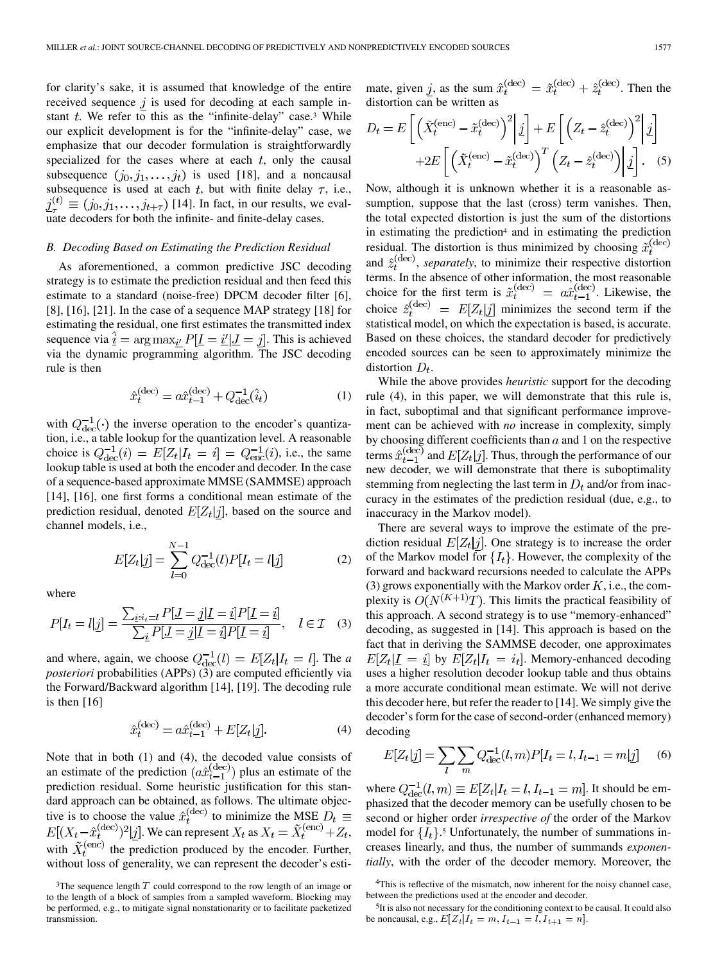for clarity's sake, it is assumed that knowledge of the entire received sequence  $j$  is used for decoding at each sample instant  $t$ . We refer to this as the "infinite-delay" case.<sup>3</sup> While our explicit development is for the "infinite-delay" case, we emphasize that our decoder formulation is straightforwardly specialized for the cases where at each  $t$ , only the causal subsequence  $(i_0, j_1, \ldots, j_t)$  is used [\[18](#page-8-0)], and a noncausal subsequence is used at each t, but with finite delay  $\tau$ , i.e., [\[14](#page-8-0)]. In fact, in our results, we evaluate decoders for both the infinite- and finite-delay cases.

# *B. Decoding Based on Estimating the Prediction Residual*

As aforementioned, a common predictive JSC decoding strategy is to estimate the prediction residual and then feed this estimate to a standard (noise-free) DPCM decoder filter [\[6](#page-8-0)], [\[8](#page-8-0)], [\[16](#page-8-0)], [[21\]](#page-8-0). In the case of a sequence MAP strategy [[18\]](#page-8-0) for estimating the residual, one first estimates the transmitted index sequence via  $\hat{i} = \arg \max_{i'} P[I = i' | J = j]$ . This is achieved via the dynamic programming algorithm. The JSC decoding rule is then

$$
\hat{x}_t^{(\text{dec})} = a\hat{x}_{t-1}^{(\text{dec})} + Q_{\text{dec}}^{-1}(\hat{i}_t)
$$
\n(1)

with  $Q_{\text{dec}}^{-1}(\cdot)$  the inverse operation to the encoder's quantization, i.e., a table lookup for the quantization level. A reasonable choice is  $Q_{\text{dec}}^{-1}(i) = E[Z_t | I_t = i] = Q_{\text{enc}}^{-1}(i)$ , i.e., the same lookup table is used at both the encoder and decoder. In the case of a sequence-based approximate MMSE (SAMMSE) approach [\[14](#page-8-0)], [\[16](#page-8-0)], one first forms a conditional mean estimate of the prediction residual, denoted  $E[Z_t|j]$ , based on the source and channel models, i.e.,

$$
E[Z_t|\underline{j}] = \sum_{l=0}^{N-1} Q_{\text{dec}}^{-1}(l) P[I_t = l|\underline{j}]
$$
 (2)

where

$$
P[I_t = l | \underline{j}] = \frac{\sum_{\underline{i}: i_t = l} P[\underline{J} = \underline{j} | \underline{I} = \underline{i}] P[\underline{I} = \underline{i}]}{\sum_{\underline{i}} P[\underline{J} = \underline{j} | \underline{I} = \underline{i}] P[\underline{I} = \underline{i}]}, \quad l \in \mathcal{I} \quad (3)
$$

and where, again, we choose  $Q_{\text{dec}}^{-1}(l) = E[Z_t|I_t = l]$ . The *a posteriori* probabilities (APPs) (3) are computed efficiently via the Forward/Backward algorithm [[14\]](#page-8-0), [\[19](#page-8-0)]. The decoding rule is then [\[16](#page-8-0)]

$$
\hat{x}_t^{(\text{dec})} = a\hat{x}_{t-1}^{(\text{dec})} + E[Z_t | \underline{j}].\tag{4}
$$

Note that in both (1) and (4), the decoded value consists of an estimate of the prediction  $(a\hat{x}_{t-1}^{(\text{dec})})$  plus an estimate of the prediction residual. Some heuristic justification for this standard approach can be obtained, as follows. The ultimate objective is to choose the value  $\hat{x}_t^{(\text{dec})}$  to minimize the MSE  $D_t \equiv$  $E[(X_t-\hat{x}_t^{(\text{dec})})^2|j]$ . We can represent  $X_t$  as  $X_t = \tilde{X}_t^{(\text{enc})} + Z_t$ , with  $\tilde{X}_t^{(\text{enc})}$  the prediction produced by the encoder. Further, without loss of generality, we can represent the decoder's estimate, given j, as the sum  $\hat{x}_t^{(\text{dec})} = \tilde{x}_t^{(\text{dec})} + \hat{z}_t^{(\text{dec})}$ . Then the distortion can be written as

$$
D_t = E\left[\left(\tilde{X}_t^{(\text{enc})} - \tilde{x}_t^{(\text{dec})}\right)^2 \middle| \underline{j}\right] + E\left[\left(Z_t - \hat{z}_t^{(\text{dec})}\right)^2 \middle| \underline{j}\right] + 2E\left[\left(\tilde{X}_t^{(\text{enc})} - \tilde{x}_t^{(\text{dec})}\right)^T \left(Z_t - \hat{z}_t^{(\text{dec})}\right) \middle| \underline{j}\right].
$$
 (5)

Now, although it is unknown whether it is a reasonable assumption, suppose that the last (cross) term vanishes. Then, the total expected distortion is just the sum of the distortions in estimating the prediction<sup>4</sup> and in estimating the prediction residual. The distortion is thus minimized by choosing  $\tilde{x}^{(\text{dec})}_t$ and  $\hat{z}_{t}^{\text{(dec)}}$ , *separately*, to minimize their respective distortion terms. In the absence of other information, the most reasonable choice for the first term is  $\tilde{x}_t^{(dec)} = a\hat{x}_{t-1}^{(dec)}$ . Likewise, the choice  $\hat{z}_t^{(\text{dec})} = E[Z_t|j]$  minimizes the second term if the statistical model, on which the expectation is based, is accurate. Based on these choices, the standard decoder for predictively encoded sources can be seen to approximately minimize the distortion  $D_t$ .

While the above provides *heuristic* support for the decoding rule (4), in this paper, we will demonstrate that this rule is, in fact, suboptimal and that significant performance improvement can be achieved with *no* increase in complexity, simply by choosing different coefficients than  $a$  and 1 on the respective terms  $\hat{x}_{t-1}^{\text{(dec)}}$  and  $E[Z_t|j]$ . Thus, through the performance of our new decoder, we will demonstrate that there is suboptimality stemming from neglecting the last term in  $D_t$  and/or from inaccuracy in the estimates of the prediction residual (due, e.g., to inaccuracy in the Markov model).

There are several ways to improve the estimate of the prediction residual  $E[Z_t|j]$ . One strategy is to increase the order of the Markov model for  $\{I_t\}$ . However, the complexity of the forward and backward recursions needed to calculate the APPs (3) grows exponentially with the Markov order  $K$ , i.e., the complexity is  $O(N^{(K+1)}T)$ . This limits the practical feasibility of this approach. A second strategy is to use "memory-enhanced" decoding, as suggested in [[14\]](#page-8-0). This approach is based on the fact that in deriving the SAMMSE decoder, one approximates  $E[Z_t | I = i]$  by  $E[Z_t | I_t = i_t]$ . Memory-enhanced decoding uses a higher resolution decoder lookup table and thus obtains a more accurate conditional mean estimate. We will not derive this decoder here, but refer the reader to [\[14](#page-8-0)]. We simply give the decoder's form for the case of second-order (enhanced memory) decoding

$$
E[Z_t | \underline{j}] = \sum_{l} \sum_{m} Q_{\text{dec}}^{-1}(l, m) P[I_t = l, I_{t-1} = m | \underline{j}] \tag{6}
$$

where  $Q_{\text{dec}}^{-1}(l,m) \equiv E[Z_t|I_t = l, I_{t-1} = m]$ . It should be emphasized that the decoder memory can be usefully chosen to be second or higher order *irrespective of* the order of the Markov model for  $\{I_t\}$ .<sup>5</sup> Unfortunately, the number of summations increases linearly, and thus, the number of summands *exponentially*, with the order of the decoder memory. Moreover, the

5It is also not necessary for the conditioning context to be causal. It could also be noncausal, e.g.,  $E[Z_t | I_t = m, I_{t-1} = l, I_{t+1} = n].$ 

 $3$ The sequence length T could correspond to the row length of an image or to the length of a block of samples from a sampled waveform. Blocking may be performed, e.g., to mitigate signal nonstationarity or to facilitate packetized transmission.

<sup>4</sup>This is reflective of the mismatch, now inherent for the noisy channel case, between the predictions used at the encoder and decoder.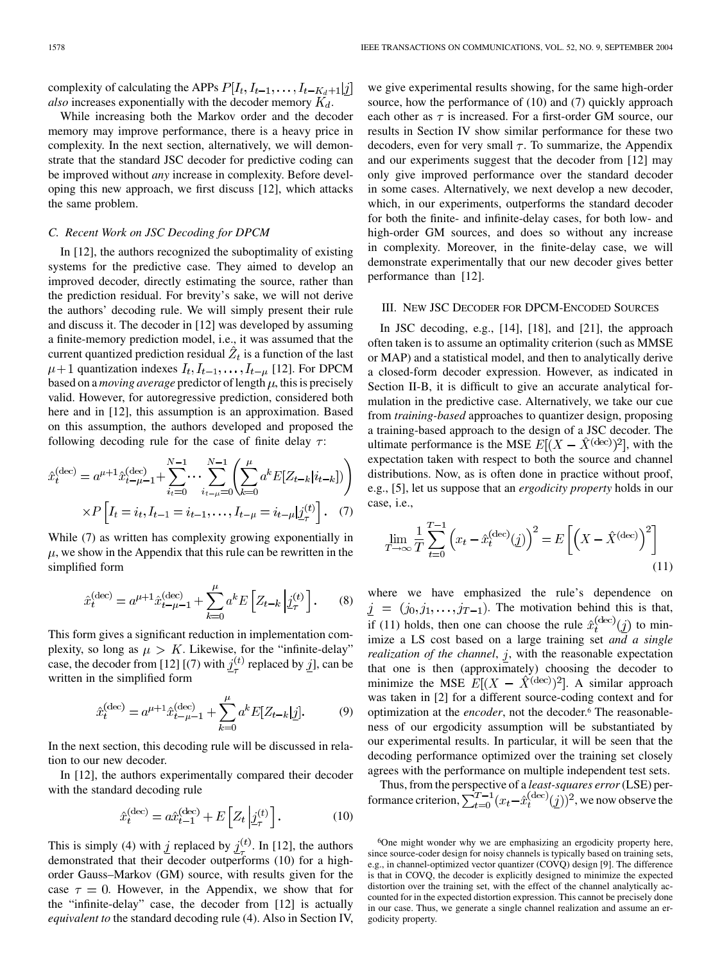complexity of calculating the APPs  $P[I_t, I_{t-1}, \ldots, I_{t-K_d+1}|j]$ *also* increases exponentially with the decoder memory  $K_d$ .

While increasing both the Markov order and the decoder memory may improve performance, there is a heavy price in complexity. In the next section, alternatively, we will demonstrate that the standard JSC decoder for predictive coding can be improved without *any* increase in complexity. Before developing this new approach, we first discuss [[12\]](#page-8-0), which attacks the same problem.

## *C. Recent Work on JSC Decoding for DPCM*

In [[12\]](#page-8-0), the authors recognized the suboptimality of existing systems for the predictive case. They aimed to develop an improved decoder, directly estimating the source, rather than the prediction residual. For brevity's sake, we will not derive the authors' decoding rule. We will simply present their rule and discuss it. The decoder in [[12\]](#page-8-0) was developed by assuming a finite-memory prediction model, i.e., it was assumed that the current quantized prediction residual  $\hat{Z}_t$  is a function of the last  $\mu+1$  quantization indexes  $I_t, I_{t-1}, \ldots, I_{t-\mu}$  [\[12](#page-8-0)]. For DPCM based on a *moving average* predictor of length  $\mu$ , this is precisely valid. However, for autoregressive prediction, considered both here and in [[12\]](#page-8-0), this assumption is an approximation. Based on this assumption, the authors developed and proposed the following decoding rule for the case of finite delay  $\tau$ :

$$
\hat{x}_t^{(\text{dec})} = a^{\mu+1} \hat{x}_{t-\mu-1}^{(\text{dec})} + \sum_{i_t=0}^{N-1} \cdots \sum_{i_{t-\mu}=0}^{N-1} \left( \sum_{k=0}^{\mu} a^k E[Z_{t-k} | i_{t-k}] \right)
$$

$$
\times P \left[ I_t = i_t, I_{t-1} = i_{t-1}, \dots, I_{t-\mu} = i_{t-\mu} | \underline{j}_\tau^{(t)} \right]. \tag{7}
$$

While (7) as written has complexity growing exponentially in  $\mu$ , we show in the Appendix that this rule can be rewritten in the simplified form

$$
\hat{x}_t^{(\text{dec})} = a^{\mu+1} \hat{x}_{t-\mu-1}^{(\text{dec})} + \sum_{k=0}^{\mu} a^k E\left[Z_{t-k} \left| \underline{j}_{\tau}^{(t)} \right. \right]. \tag{8}
$$

This form gives a significant reduction in implementation complexity, so long as  $\mu > K$ . Likewise, for the "infinite-delay" case, the decoder from [[12\]](#page-8-0) [(7) with  $j^{(t)}_r$  replaced by j], can be written in the simplified form

$$
\hat{x}_t^{(\text{dec})} = a^{\mu+1} \hat{x}_{t-\mu-1}^{(\text{dec})} + \sum_{k=0}^{\mu} a^k E[Z_{t-k}|j]. \tag{9}
$$

In the next section, this decoding rule will be discussed in relation to our new decoder.

In [[12\]](#page-8-0), the authors experimentally compared their decoder with the standard decoding rule

$$
\hat{x}_t^{(\text{dec})} = a\hat{x}_{t-1}^{(\text{dec})} + E\left[Z_t \left| \underline{j}_\tau^{(t)} \right. \right]. \tag{10}
$$

This is simply (4) with  $\underline{j}$  replaced by  $\underline{j}^{(t)}_{\tau}$ . In [\[12](#page-8-0)], the authors demonstrated that their decoder outperforms (10) for a highorder Gauss–Markov (GM) source, with results given for the case  $\tau = 0$ . However, in the Appendix, we show that for the "infinite-delay" case, the decoder from [\[12](#page-8-0)] is actually *equivalent to* the standard decoding rule (4). Also in Section IV,

we give experimental results showing, for the same high-order source, how the performance of (10) and (7) quickly approach each other as  $\tau$  is increased. For a first-order GM source, our results in Section IV show similar performance for these two decoders, even for very small  $\tau$ . To summarize, the Appendix and our experiments suggest that the decoder from [[12\]](#page-8-0) may only give improved performance over the standard decoder in some cases. Alternatively, we next develop a new decoder, which, in our experiments, outperforms the standard decoder for both the finite- and infinite-delay cases, for both low- and high-order GM sources, and does so without any increase in complexity. Moreover, in the finite-delay case, we will demonstrate experimentally that our new decoder gives better performance than [[12\]](#page-8-0).

# III. NEW JSC DECODER FOR DPCM-ENCODED SOURCES

In JSC decoding, e.g., [\[14](#page-8-0)], [[18\]](#page-8-0), and [\[21](#page-8-0)], the approach often taken is to assume an optimality criterion (such as MMSE or MAP) and a statistical model, and then to analytically derive a closed-form decoder expression. However, as indicated in Section II-B, it is difficult to give an accurate analytical formulation in the predictive case. Alternatively, we take our cue from *training-based* approaches to quantizer design, proposing a training-based approach to the design of a JSC decoder. The ultimate performance is the MSE  $E[(X - \hat{X}^{(\text{dec})})^2]$ , with the expectation taken with respect to both the source and channel distributions. Now, as is often done in practice without proof, e.g., [\[5](#page-8-0)], let us suppose that an *ergodicity property* holds in our case, i.e.,

$$
\lim_{T \to \infty} \frac{1}{T} \sum_{t=0}^{T-1} \left( x_t - \hat{x}_t^{(\text{dec})}(\underline{j}) \right)^2 = E \left[ \left( X - \hat{X}^{(\text{dec})} \right)^2 \right]
$$
\n(11)

where we have emphasized the rule's dependence on  $j = (j_0, j_1, \ldots, j_{T-1})$ . The motivation behind this is that, if (11) holds, then one can choose the rule  $\hat{x}_t^{(\text{dec})}(j)$  to minimize a LS cost based on a large training set *and a single*  $realization$  of the channel,  $j$ , with the reasonable expectation that one is then (approximately) choosing the decoder to minimize the MSE  $E[(X - \hat{X}^{(\text{dec})})^2]$ . A similar approach was taken in [\[2](#page-8-0)] for a different source-coding context and for optimization at the *encoder*, not the decoder.6 The reasonableness of our ergodicity assumption will be substantiated by our experimental results. In particular, it will be seen that the decoding performance optimized over the training set closely agrees with the performance on multiple independent test sets.

Thus, from the perspective of a *least-squares error*(LSE) performance criterion,  $\sum_{t=0}^{T-1} (x_t - \hat{x}_t^{(uec)}(j))^2$ , we now observe the

<sup>&</sup>lt;sup>6</sup>One might wonder why we are emphasizing an ergodicity property here, since source-coder design for noisy channels is typically based on training sets, e.g., in channel-optimized vector quantizer (COVQ) design [\[9](#page-8-0)]. The difference is that in COVQ, the decoder is explicitly designed to minimize the expected distortion over the training set, with the effect of the channel analytically accounted for in the expected distortion expression. This cannot be precisely done in our case. Thus, we generate a single channel realization and assume an ergodicity property.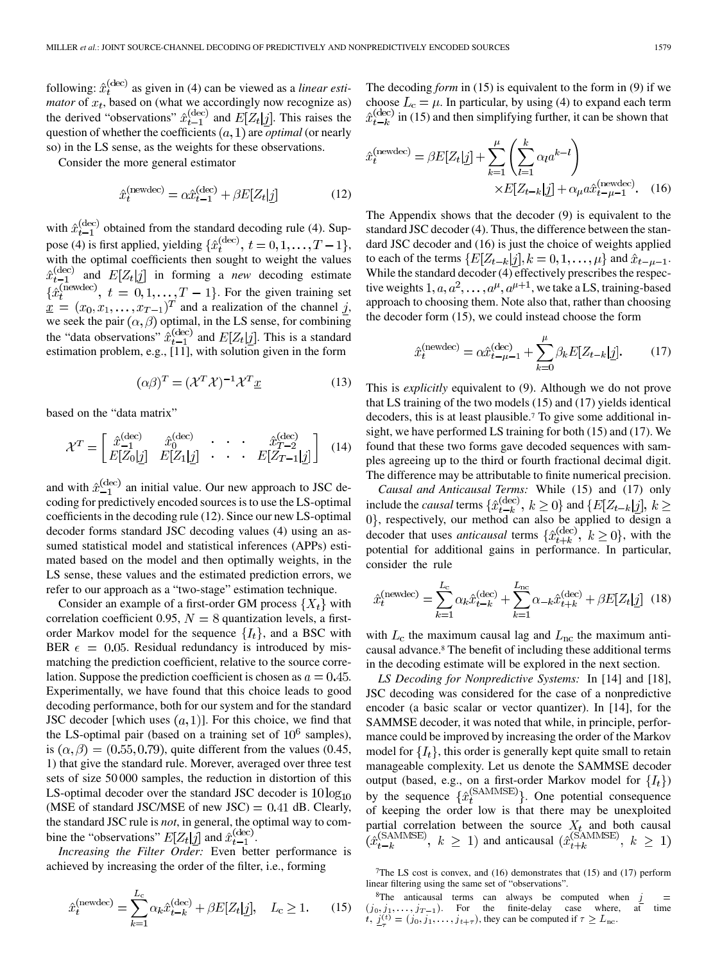following:  $\hat{x}_t^{(\text{dec})}$  as given in (4) can be viewed as a *linear estimator* of  $x_t$ , based on (what we accordingly now recognize as) the derived "observations"  $\hat{x}_{t-1}^{\text{(dec)}}$  and  $E[Z_t|j]$ . This raises the question of whether the coefficients  $(a, 1)$  are *optimal* (or nearly so) in the LS sense, as the weights for these observations.

Consider the more general estimator

$$
\hat{x}_t^{\text{(newdec)}} = \alpha \hat{x}_{t-1}^{\text{(dec)}} + \beta E[Z_t | \underline{j}] \tag{12}
$$

with  $\hat{x}_{t-1}^{\text{(dec)}}$  obtained from the standard decoding rule (4). Suppose (4) is first applied, yielding  $\{\hat{x}_t^{(\text{dec})}, t = 0, 1, \dots, T-1\},\$ with the optimal coefficients then sought to weight the values and  $E[Z_t|j]$  in forming a *new* decoding estimate . For the given training set and a realization of the channel  $j$ , we seek the pair  $(\alpha, \beta)$  optimal, in the LS sense, for combining the "data observations"  $\hat{x}_{t-1}^{(\text{dec})}$  and  $E[Z_t|j]$ . This is a standard estimation problem, e.g., [[11\]](#page-8-0), with solution given in the form

$$
(\alpha \beta)^T = (\mathcal{X}^T \mathcal{X})^{-1} \mathcal{X}^T \underline{x} \tag{13}
$$

based on the "data matrix"

$$
\mathcal{X}^T = \begin{bmatrix} \hat{x}_{-1}^{(\text{dec})} & \hat{x}_0^{(\text{dec})} & \cdots & \hat{x}_{T-2}^{(\text{dec})} \\ E[Z_0|\underline{j}] & E[Z_1|\underline{j}] & \cdots & E[Z_{T-1}|\underline{j}] \end{bmatrix} \tag{14}
$$

and with  $\hat{x}_{-1}^{(dec)}$  an initial value. Our new approach to JSC decoding for predictively encoded sources is to use the LS-optimal coefficients in the decoding rule (12). Since our new LS-optimal decoder forms standard JSC decoding values (4) using an assumed statistical model and statistical inferences (APPs) estimated based on the model and then optimally weights, in the LS sense, these values and the estimated prediction errors, we refer to our approach as a "two-stage" estimation technique.

Consider an example of a first-order GM process  $\{X_t\}$  with correlation coefficient 0.95,  $N = 8$  quantization levels, a firstorder Markov model for the sequence  $\{I_t\}$ , and a BSC with BER  $\epsilon = 0.05$ . Residual redundancy is introduced by mismatching the prediction coefficient, relative to the source correlation. Suppose the prediction coefficient is chosen as  $a = 0.45$ . Experimentally, we have found that this choice leads to good decoding performance, both for our system and for the standard JSC decoder [which uses  $(a, 1)$ ]. For this choice, we find that the LS-optimal pair (based on a training set of  $10^6$  samples), is  $(\alpha, \beta) = (0.55, 0.79)$ , quite different from the values (0.45, 1) that give the standard rule. Morever, averaged over three test sets of size 50 000 samples, the reduction in distortion of this LS-optimal decoder over the standard JSC decoder is  $10 \log_{10}$ (MSE of standard JSC/MSE of new JSC)  $= 0.41$  dB. Clearly, the standard JSC rule is *not*, in general, the optimal way to combine the "observations"  $E[Z_t|j]$  and  $\hat{x}_{t-1}^{\text{(dec)}}$ .

*Increasing the Filter Order:* Even better performance is achieved by increasing the order of the filter, i.e., forming

$$
\hat{x}_t^{\text{(newdec)}} = \sum_{k=1}^{L_c} \alpha_k \hat{x}_{t-k}^{\text{(dec)}} + \beta E[Z_t | \underline{j}], \quad L_c \ge 1. \tag{15}
$$

The decoding *form* in (15) is equivalent to the form in (9) if we choose  $L_c = \mu$ . In particular, by using (4) to expand each term  $\hat{x}_{t-k}^{(\text{dec})}$  in (15) and then simplifying further, it can be shown that

$$
\hat{x}_t^{\text{(newdec)}} = \beta E[Z_t | \underline{j}] + \sum_{k=1}^{\mu} \left( \sum_{l=1}^k \alpha_l a^{k-l} \right) \times E[Z_{t-k} | \underline{j}] + \alpha_{\mu} a \hat{x}_{t-\mu-1}^{\text{(newdec)}}.
$$
 (16)

The Appendix shows that the decoder (9) is equivalent to the standard JSC decoder (4). Thus, the difference between the standard JSC decoder and (16) is just the choice of weights applied to each of the terms  $\{E[Z_{t-k}|j], k = 0, 1, \ldots, \mu\}$  and  $\hat{x}_{t-\mu-1}$ . While the standard decoder (4) effectively prescribes the respective weights  $1, a, a^2, \ldots, a^{\mu}, a^{\mu+1}$ , we take a LS, training-based approach to choosing them. Note also that, rather than choosing the decoder form (15), we could instead choose the form

$$
\hat{x}_t^{\text{(newdec)}} = \alpha \hat{x}_{t-\mu-1}^{\text{(dec)}} + \sum_{k=0}^{\mu} \beta_k E[Z_{t-k}|j]. \tag{17}
$$

This is *explicitly* equivalent to (9). Although we do not prove that LS training of the two models (15) and (17) yields identical decoders, this is at least plausible.7 To give some additional insight, we have performed LS training for both (15) and (17). We found that these two forms gave decoded sequences with samples agreeing up to the third or fourth fractional decimal digit. The difference may be attributable to finite numerical precision.

*Causal and Anticausal Terms:* While (15) and (17) only include the *causal* terms  $\{\hat{x}_{t-k}^{(\text{dec})}, k \ge 0\}$  and  $\{E[Z_{t-k}|\underline{j}], k \ge 0\}$ , respectively, our method can also be applied to design a decoder that uses *anticausal* terms  $\{\hat{x}_{t+k}^{(dec)}\}, k \ge 0\}$ , with the potential for additional gains in performance. In particular, consider the rule

$$
\hat{x}_t^{\text{(newdec)}} = \sum_{k=1}^{L_c} \alpha_k \hat{x}_{t-k}^{\text{(dec)}} + \sum_{k=1}^{L_{\text{nc}}} \alpha_{-k} \hat{x}_{t+k}^{\text{(dec)}} + \beta E[Z_t | j] \tag{18}
$$

with  $L_c$  the maximum causal lag and  $L_{nc}$  the maximum anticausal advance.8 The benefit of including these additional terms in the decoding estimate will be explored in the next section.

*LS Decoding for Nonpredictive Systems:* In [\[14](#page-8-0)] and [\[18](#page-8-0)], JSC decoding was considered for the case of a nonpredictive encoder (a basic scalar or vector quantizer). In [\[14](#page-8-0)], for the SAMMSE decoder, it was noted that while, in principle, performance could be improved by increasing the order of the Markov model for  $\{I_t\}$ , this order is generally kept quite small to retain manageable complexity. Let us denote the SAMMSE decoder output (based, e.g., on a first-order Markov model for  $\{I_t\}$ ) by the sequence  $\{\hat{x}_t^{(\text{SAMMSE})}\}\$ . One potential consequence of keeping the order low is that there may be unexploited partial correlation between the source  $X_t$  and both causal and anticausal

<sup>7</sup>The LS cost is convex, and (16) demonstrates that (15) and (17) perform linear filtering using the same set of "observations".

<sup>8</sup>The anticausal terms can always be computed when  $j =$  $(j_0, j_1, \ldots, j_{T-1})$ . For the finite-delay case where, at time  $t, j_{\perp}^{(t)} = (j_0, j_1, \ldots, j_{t+\tau})$ , they can be computed if  $\tau \ge L_{\text{nc}}$ .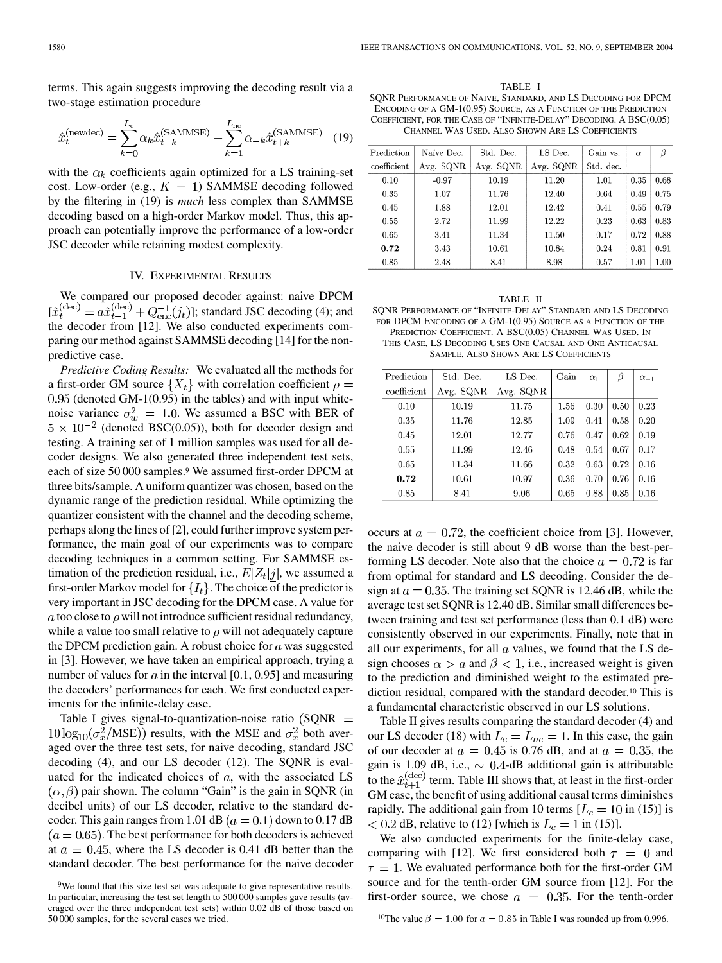terms. This again suggests improving the decoding result via a two-stage estimation procedure

$$
\hat{x}_t^{\text{(newdec)}} = \sum_{k=0}^{L_c} \alpha_k \hat{x}_{t-k}^{\text{(SAMMSE)}} + \sum_{k=1}^{L_{\text{nc}}} \alpha_{-k} \hat{x}_{t+k}^{\text{(SAMMSE)}} \tag{19}
$$

with the  $\alpha_k$  coefficients again optimized for a LS training-set cost. Low-order (e.g.,  $K = 1$ ) SAMMSE decoding followed by the filtering in (19) is *much* less complex than SAMMSE decoding based on a high-order Markov model. Thus, this approach can potentially improve the performance of a low-order JSC decoder while retaining modest complexity.

# IV. EXPERIMENTAL RESULTS

We compared our proposed decoder against: naive DPCM  $[\hat{x}_t^{(\text{dec})} = a\hat{x}_{t-1}^{(\text{dec})} + Q_{\text{enc}}^{-1}(j_t)];$  standard JSC decoding (4); and the decoder from [\[12](#page-8-0)]. We also conducted experiments comparing our method against SAMMSE decoding [[14\]](#page-8-0) for the nonpredictive case.

*Predictive Coding Results:* We evaluated all the methods for a first-order GM source  $\{X_t\}$  with correlation coefficient  $\rho =$  $0.95$  (denoted GM-1( $0.95$ ) in the tables) and with input whitenoise variance  $\sigma_w^2 = 1.0$ . We assumed a BSC with BER of  $5 \times 10^{-2}$  (denoted BSC(0.05)), both for decoder design and testing. A training set of 1 million samples was used for all decoder designs. We also generated three independent test sets, each of size 50 000 samples.<sup>9</sup> We assumed first-order DPCM at three bits/sample. A uniform quantizer was chosen, based on the dynamic range of the prediction residual. While optimizing the quantizer consistent with the channel and the decoding scheme, perhaps along the lines of [[2\]](#page-8-0), could further improve system performance, the main goal of our experiments was to compare decoding techniques in a common setting. For SAMMSE estimation of the prediction residual, i.e.,  $E[Z_t|j]$ , we assumed a first-order Markov model for  $\{I_t\}$ . The choice of the predictor is very important in JSC decoding for the DPCM case. A value for a too close to  $\rho$  will not introduce sufficient residual redundancy, while a value too small relative to  $\rho$  will not adequately capture the DPCM prediction gain. A robust choice for  $a$  was suggested in [\[3](#page-8-0)]. However, we have taken an empirical approach, trying a number of values for  $a$  in the interval [0.1, 0.95] and measuring the decoders' performances for each. We first conducted experiments for the infinite-delay case.

Table I gives signal-to-quantization-noise ratio (SQNR  $=$  $10\log_{10}(\sigma_x^2/\text{MSE})$  results, with the MSE and  $\sigma_x^2$  both averaged over the three test sets, for naive decoding, standard JSC decoding (4), and our LS decoder (12). The SQNR is evaluated for the indicated choices of  $a$ , with the associated LS  $(\alpha, \beta)$  pair shown. The column "Gain" is the gain in SQNR (in decibel units) of our LS decoder, relative to the standard decoder. This gain ranges from 1.01 dB  $(a = 0.1)$  down to 0.17 dB  $(a = 0.65)$ . The best performance for both decoders is achieved at  $a = 0.45$ , where the LS decoder is 0.41 dB better than the standard decoder. The best performance for the naive decoder

TABLE I SQNR PERFORMANCE OF NAIVE, STANDARD, AND LS DECODING FOR DPCM ENCODING OF A GM-1(0.95) SOURCE, AS A FUNCTION OF THE PREDICTION COEFFICIENT, FOR THE CASE OF "INFINITE-DELAY" DECODING. A BSC(0.05) CHANNEL WAS USED. ALSO SHOWN ARE LS COEFFICIENTS

| Prediction  | Naïve Dec. | Std. Dec. | LS Dec.   | Gain vs.  | $\alpha$ | ß    |
|-------------|------------|-----------|-----------|-----------|----------|------|
| coefficient | Avg. SQNR  | Avg. SQNR | Avg. SQNR | Std. dec. |          |      |
| 0.10        | $-0.97$    | 10.19     | 11.20     | 1.01      | 0.35     | 0.68 |
| 0.35        | 1.07       | 11.76     | 12.40     | 0.64      | 0.49     | 0.75 |
| 0.45        | 1.88       | 12.01     | 12.42     | 0.41      | 0.55     | 0.79 |
| 0.55        | 2.72       | 11.99     | 12.22     | 0.23      | 0.63     | 0.83 |
| 0.65        | 3.41       | 11.34     | 11.50     | 0.17      | 0.72     | 0.88 |
| 0.72        | 3.43       | 10.61     | 10.84     | 0.24      | 0.81     | 0.91 |
| 0.85        | 2.48       | 8.41      | 8.98      | 0.57      | 1.01     | 1.00 |

TABLE II SQNR PERFORMANCE OF "INFINITE-DELAY" STANDARD AND LS DECODING FOR DPCM ENCODING OF A GM-1(0.95) SOURCE AS A FUNCTION OF THE PREDICTION COEFFICIENT. A BSC(0.05) CHANNEL WAS USED. IN THIS CASE, LS DECODING USES ONE CAUSAL AND ONE ANTICAUSAL SAMPLE. ALSO SHOWN ARE LS COEFFICIENTS

| Prediction  | Std. Dec. | LS Dec.   | Gain | $\alpha_1$ | β    | $\alpha_{-1}$ |
|-------------|-----------|-----------|------|------------|------|---------------|
| coefficient | Avg. SQNR | Avg. SQNR |      |            |      |               |
| 0.10        | 10.19     | 11.75     | 1.56 | 0.30       | 0.50 | 0.23          |
| 0.35        | 11.76     | 12.85     | 1.09 | 0.41       | 0.58 | 0.20          |
| 0.45        | 12.01     | 12.77     | 0.76 | 0.47       | 0.62 | 0.19          |
| 0.55        | 11.99     | 12.46     | 0.48 | 0.54       | 0.67 | 0.17          |
| 0.65        | 11.34     | 11.66     | 0.32 | 0.63       | 0.72 | 0.16          |
| 0.72        | 10.61     | 10.97     | 0.36 | 0.70       | 0.76 | 0.16          |
| 0.85        | 8.41      | 9.06      | 0.65 | 0.88       | 0.85 | 0.16          |

occurs at  $a = 0.72$ , the coefficient choice from [[3\]](#page-8-0). However, the naive decoder is still about 9 dB worse than the best-performing LS decoder. Note also that the choice  $a = 0.72$  is far from optimal for standard and LS decoding. Consider the design at  $a = 0.35$ . The training set SQNR is 12.46 dB, while the average test set SQNR is 12.40 dB. Similar small differences between training and test set performance (less than 0.1 dB) were consistently observed in our experiments. Finally, note that in all our experiments, for all  $a$  values, we found that the LS design chooses  $\alpha > a$  and  $\beta < 1$ , i.e., increased weight is given to the prediction and diminished weight to the estimated prediction residual, compared with the standard decoder.10 This is a fundamental characteristic observed in our LS solutions.

Table II gives results comparing the standard decoder (4) and our LS decoder (18) with  $L_c = L_{nc} = 1$ . In this case, the gain of our decoder at  $a = 0.45$  is 0.76 dB, and at  $a = 0.35$ , the gain is 1.09 dB, i.e.,  $\sim 0.4$ -dB additional gain is attributable to the  $\hat{x}_{t+1}^{(\text{dec})}$  term. Table III shows that, at least in the first-order GM case, the benefit of using additional causal terms diminishes rapidly. The additional gain from 10 terms  $[L_c = 10$  in (15)] is  $< 0.2$  dB, relative to (12) [which is  $L_c = 1$  in (15)].

We also conducted experiments for the finite-delay case, comparing with [\[12](#page-8-0)]. We first considered both  $\tau = 0$  and  $\tau = 1$ . We evaluated performance both for the first-order GM source and for the tenth-order GM source from [[12\]](#page-8-0). For the first-order source, we chose  $a = 0.35$ . For the tenth-order

<sup>10</sup>The value  $\beta = 1.00$  for  $a = 0.85$  in Table I was rounded up from 0.996.

<sup>9</sup>We found that this size test set was adequate to give representative results. In particular, increasing the test set length to 500 000 samples gave results (averaged over the three independent test sets) within 0.02 dB of those based on 50 000 samples, for the several cases we tried.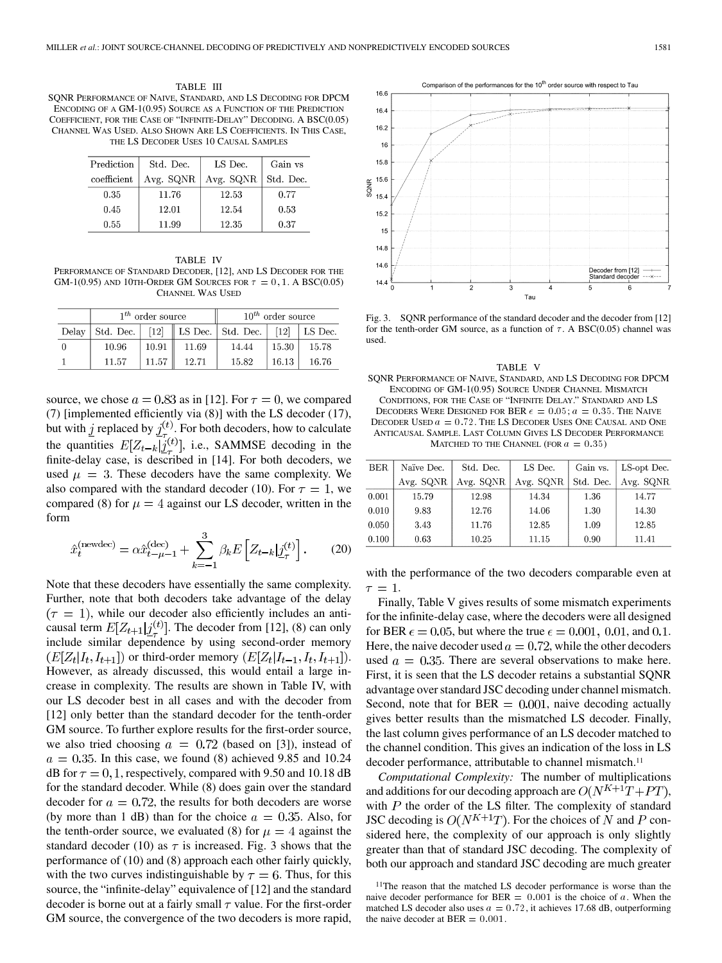TABLE III SQNR PERFORMANCE OF NAIVE, STANDARD, AND LS DECODING FOR DPCM ENCODING OF A GM-1(0.95) SOURCE AS A FUNCTION OF THE PREDICTION COEFFICIENT, FOR THE CASE OF "INFINITE-DELAY" DECODING. A BSC(0.05) CHANNEL WAS USED. ALSO SHOWN ARE LS COEFFICIENTS. IN THIS CASE, THE LS DECODER USES 10 CAUSAL SAMPLES

| Prediction  | Std. Dec. | LS Dec.   | Gain vs   |
|-------------|-----------|-----------|-----------|
| coefficient | Avg. SQNR | Avg. SQNR | Std. Dec. |
| 0.35        | 11.76     | 12.53     | 0.77      |
| 0.45        | 12.01     | 12.54     | 0.53      |
| 0.55        | 11.99     | 12.35     | 0.37      |

TABLE IV PERFORMANCE OF STANDARD DECODER, [\[12\]](#page-8-0), AND LS DECODER FOR THE GM-1(0.95) AND 10TH-ORDER GM SOURCES FOR  $\tau = 0, 1$ . A BSC(0.05) CHANNEL WAS USED

|       | $1^{th}$ order source |       |       | $10^{th}$ order source       |       |                |
|-------|-----------------------|-------|-------|------------------------------|-------|----------------|
| Delay | Std. Dec.             |       |       | $[12]$   LS Dec.   Std. Dec. |       | $[12]$ LS Dec. |
|       | 10.96                 | 10.91 | 11.69 | 14.44                        | 15.30 | 15.78          |
|       | 11.57                 | 11.57 | 12.71 | 15.82                        | 16.13 | 16.76          |

source, we chose  $a = 0.83$  as in [\[12](#page-8-0)]. For  $\tau = 0$ , we compared (7) [implemented efficiently via (8)] with the LS decoder (17), but with  $\underline{j}$  replaced by  $\underline{j}^{(t)}_{\tau}$ . For both decoders, how to calculate the quantities  $E[Z_{t-k}|j_{\tau}^{(t)}]$ , i.e., SAMMSE decoding in the finite-delay case, is described in [[14\]](#page-8-0). For both decoders, we used  $\mu = 3$ . These decoders have the same complexity. We also compared with the standard decoder (10). For  $\tau = 1$ , we compared (8) for  $\mu = 4$  against our LS decoder, written in the form

$$
\hat{x}_t^{\text{(newdec)}} = \alpha \hat{x}_{t-\mu-1}^{\text{(dec)}} + \sum_{k=-1}^3 \beta_k E\left[Z_{t-k} | \underline{j}_{\tau}^{(t)}\right].\tag{20}
$$

Note that these decoders have essentially the same complexity. Further, note that both decoders take advantage of the delay  $(\tau = 1)$ , while our decoder also efficiently includes an anticausal term  $E[Z_{t+1}|\underline{j}_{\tau}^{(t)}]$ . The decoder from [[12\]](#page-8-0), (8) can only include similar dependence by using second-order memory  $(E[Z_t|I_t, I_{t+1}])$  or third-order memory  $(E[Z_t|I_{t-1}, I_t, I_{t+1}]).$ However, as already discussed, this would entail a large increase in complexity. The results are shown in Table IV, with our LS decoder best in all cases and with the decoder from [\[12](#page-8-0)] only better than the standard decoder for the tenth-order GM source. To further explore results for the first-order source, we also tried choosing  $a = 0.72$  (based on [[3\]](#page-8-0)), instead of  $a = 0.35$ . In this case, we found (8) achieved 9.85 and 10.24 dB for  $\tau = 0, 1$ , respectively, compared with 9.50 and 10.18 dB for the standard decoder. While (8) does gain over the standard decoder for  $a = 0.72$ , the results for both decoders are worse (by more than 1 dB) than for the choice  $a = 0.35$ . Also, for the tenth-order source, we evaluated (8) for  $\mu = 4$  against the standard decoder (10) as  $\tau$  is increased. Fig. 3 shows that the performance of (10) and (8) approach each other fairly quickly, with the two curves indistinguishable by  $\tau = 6$ . Thus, for this source, the "infinite-delay" equivalence of [[12\]](#page-8-0) and the standard decoder is borne out at a fairly small  $\tau$  value. For the first-order GM source, the convergence of the two decoders is more rapid,



Fig. 3. SQNR performance of the standard decoder and the decoder from [[12\]](#page-8-0) for the tenth-order GM source, as a function of  $\tau$ . A BSC(0.05) channel was used.

| TABLE V                                                                   |
|---------------------------------------------------------------------------|
| SQNR PERFORMANCE OF NAIVE, STANDARD, AND LS DECODING FOR DPCM             |
| ENCODING OF GM-1(0.95) SOURCE UNDER CHANNEL MISMATCH                      |
| CONDITIONS, FOR THE CASE OF "INFINITE DELAY." STANDARD AND LS             |
| DECODERS WERE DESIGNED FOR BER $\epsilon = 0.05$ ; $a = 0.35$ . The NAIVE |
| DECODER USED $a = 0.72$ . The LS DECODER USES ONE CAUSAL AND ONE          |
| ANTICAUSAL SAMPLE. LAST COLUMN GIVES LS DECODER PERFORMANCE               |
| MATCHED TO THE CHANNEL (FOR $a = 0.35$ )                                  |
|                                                                           |

| BER.  | Naïve Dec. | Std. Dec. | LS Dec.   | Gain vs.  | LS-opt Dec. |
|-------|------------|-----------|-----------|-----------|-------------|
|       | Avg. SQNR  | Avg. SQNR | Avg. SQNR | Std. Dec. | Avg. SQNR   |
| 0.001 | 15.79      | 12.98     | 14.34     | 1.36      | 14.77       |
| 0.010 | 9.83       | 12.76     | 14.06     | 1.30      | 14.30       |
| 0.050 | 3.43       | 11.76     | 12.85     | 1.09      | 12.85       |
| 0.100 | 0.63       | 10.25     | 11.15     | 0.90      | 11.41       |
|       |            |           |           |           |             |

with the performance of the two decoders comparable even at  $\tau=1$ .

Finally, Table V gives results of some mismatch experiments for the infinite-delay case, where the decoders were all designed for BER  $\epsilon = 0.05$ , but where the true  $\epsilon = 0.001$ , 0.01, and 0.1. Here, the naive decoder used  $a = 0.72$ , while the other decoders used  $a = 0.35$ . There are several observations to make here. First, it is seen that the LS decoder retains a substantial SQNR advantage over standard JSC decoding under channel mismatch. Second, note that for  $BER = 0.001$ , naive decoding actually gives better results than the mismatched LS decoder. Finally, the last column gives performance of an LS decoder matched to the channel condition. This gives an indication of the loss in LS decoder performance, attributable to channel mismatch.<sup>11</sup>

*Computational Complexity:* The number of multiplications and additions for our decoding approach are  $O(N^{K+1}T+PT)$ , with  $P$  the order of the LS filter. The complexity of standard JSC decoding is  $O(N^{K+1}T)$ . For the choices of N and P considered here, the complexity of our approach is only slightly greater than that of standard JSC decoding. The complexity of both our approach and standard JSC decoding are much greater

<sup>11</sup>The reason that the matched LS decoder performance is worse than the naive decoder performance for  $BER = 0.001$  is the choice of a. When the matched LS decoder also uses  $a = 0.72$ , it achieves 17.68 dB, outperforming the naive decoder at  $BER = 0.001$ .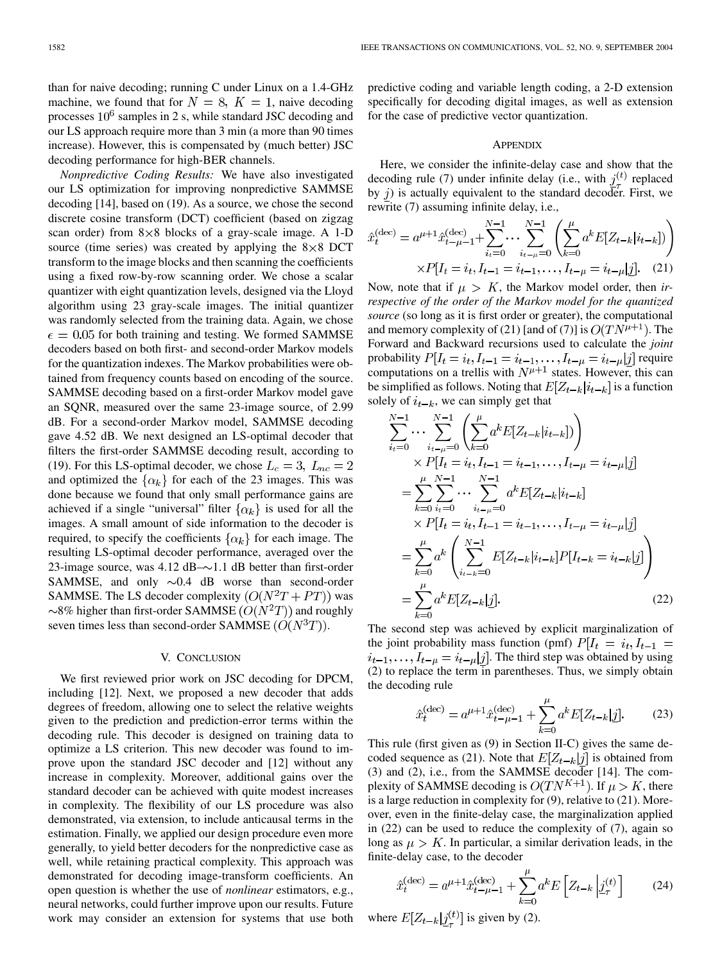than for naive decoding; running C under Linux on a 1.4-GHz machine, we found that for  $N = 8$ ,  $K = 1$ , naive decoding processes  $10^6$  samples in 2 s, while standard JSC decoding and our LS approach require more than 3 min (a more than 90 times increase). However, this is compensated by (much better) JSC decoding performance for high-BER channels.

*Nonpredictive Coding Results:* We have also investigated our LS optimization for improving nonpredictive SAMMSE decoding [[14\]](#page-8-0), based on (19). As a source, we chose the second discrete cosine transform (DCT) coefficient (based on zigzag scan order) from  $8 \times 8$  blocks of a gray-scale image. A 1-D source (time series) was created by applying the  $8 \times 8$  DCT transform to the image blocks and then scanning the coefficients using a fixed row-by-row scanning order. We chose a scalar quantizer with eight quantization levels, designed via the Lloyd algorithm using 23 gray-scale images. The initial quantizer was randomly selected from the training data. Again, we chose  $\epsilon = 0.05$  for both training and testing. We formed SAMMSE decoders based on both first- and second-order Markov models for the quantization indexes. The Markov probabilities were obtained from frequency counts based on encoding of the source. SAMMSE decoding based on a first-order Markov model gave an SQNR, measured over the same 23-image source, of 2.99 dB. For a second-order Markov model, SAMMSE decoding gave 4.52 dB. We next designed an LS-optimal decoder that filters the first-order SAMMSE decoding result, according to (19). For this LS-optimal decoder, we chose  $L_c = 3$ ,  $L_{nc} = 2$ and optimized the  $\{\alpha_k\}$  for each of the 23 images. This was done because we found that only small performance gains are achieved if a single "universal" filter  $\{\alpha_k\}$  is used for all the images. A small amount of side information to the decoder is required, to specify the coefficients  $\{\alpha_k\}$  for each image. The resulting LS-optimal decoder performance, averaged over the 23-image source, was  $4.12$  dB $-\sim$ 1.1 dB better than first-order SAMMSE, and only  $\sim 0.4$  dB worse than second-order SAMMSE. The LS decoder complexity  $(O(N^2T + PT))$  was  $\sim$ 8% higher than first-order SAMMSE  $(O(N^2T))$  and roughly seven times less than second-order SAMMSE  $(O(N^3T))$ .

### V. CONCLUSION

We first reviewed prior work on JSC decoding for DPCM, including [[12\]](#page-8-0). Next, we proposed a new decoder that adds degrees of freedom, allowing one to select the relative weights given to the prediction and prediction-error terms within the decoding rule. This decoder is designed on training data to optimize a LS criterion. This new decoder was found to improve upon the standard JSC decoder and [[12\]](#page-8-0) without any increase in complexity. Moreover, additional gains over the standard decoder can be achieved with quite modest increases in complexity. The flexibility of our LS procedure was also demonstrated, via extension, to include anticausal terms in the estimation. Finally, we applied our design procedure even more generally, to yield better decoders for the nonpredictive case as well, while retaining practical complexity. This approach was demonstrated for decoding image-transform coefficients. An open question is whether the use of *nonlinear* estimators, e.g., neural networks, could further improve upon our results. Future work may consider an extension for systems that use both predictive coding and variable length coding, a 2-D extension specifically for decoding digital images, as well as extension for the case of predictive vector quantization.

## **APPENDIX**

Here, we consider the infinite-delay case and show that the decoding rule (7) under infinite delay (i.e., with  $j_{\tau}^{(t)}$  replaced by  $j$ ) is actually equivalent to the standard decoder. First, we rewrite (7) assuming infinite delay, i.e.,

$$
\hat{x}_t^{(\text{dec})} = a^{\mu+1} \hat{x}_{t-\mu-1}^{(\text{dec})} + \sum_{i_t=0}^{N-1} \cdots \sum_{i_{t-\mu}=0}^{N-1} \left( \sum_{k=0}^{\mu} a^k E[Z_{t-k} | i_{t-k}] \right)
$$

$$
\times P[I_t = i_t, I_{t-1} = i_{t-1}, \dots, I_{t-\mu} = i_{t-\mu} | \underline{j}]. \quad (21)
$$

Now, note that if  $\mu > K$ , the Markov model order, then *irrespective of the order of the Markov model for the quantized source* (so long as it is first order or greater), the computational and memory complexity of (21) [and of (7)] is  $O(TN^{\mu+1})$ . The Forward and Backward recursions used to calculate the *joint* probability  $P[I_t = i_t, I_{t-1} = i_{t-1}, \ldots, I_{t-\mu} = i_{t-\mu} | j]$  require computations on a trellis with  $N^{\mu+1}$  states. However, this can be simplified as follows. Noting that  $E[Z_{t-k}|i_{t-k}]$  is a function solely of  $i_{t-k}$ , we can simply get that

$$
\sum_{i_{t}=0}^{N-1} \cdots \sum_{i_{t-\mu}=0}^{N-1} \left( \sum_{k=0}^{\mu} a^k E[Z_{t-k}|i_{t-k}]) \right)
$$
\n
$$
\times P[I_t = i_t, I_{t-1} = i_{t-1}, \dots, I_{t-\mu} = i_{t-\mu}|\underline{j}]
$$
\n
$$
= \sum_{k=0}^{\mu} \sum_{i_t=0}^{N-1} \cdots \sum_{i_{t-\mu}=0}^{N-1} a^k E[Z_{t-k}|i_{t-k}]
$$
\n
$$
\times P[I_t = i_t, I_{t-1} = i_{t-1}, \dots, I_{t-\mu} = i_{t-\mu}|\underline{j}]
$$
\n
$$
= \sum_{k=0}^{\mu} a^k \left( \sum_{i_{t-k}=0}^{N-1} E[Z_{t-k}|i_{t-k}] P[I_{t-k} = i_{t-k}|\underline{j}] \right)
$$
\n
$$
= \sum_{k=0}^{\mu} a^k E[Z_{t-k}|\underline{j}]. \tag{22}
$$

The second step was achieved by explicit marginalization of the joint probability mass function (pmf)  $P[I_t = i_t, I_{t-1}]$  $i_{t-1}, \ldots, I_{t-\mu} = i_{t-\mu}[j]$ . The third step was obtained by using (2) to replace the term in parentheses. Thus, we simply obtain the decoding rule

$$
\hat{x}_t^{(\text{dec})} = a^{\mu+1}\hat{x}_{t-\mu-1}^{(\text{dec})} + \sum_{k=0}^{\mu} a^k E[Z_{t-k}|\underline{j}].\tag{23}
$$

This rule (first given as (9) in Section II-C) gives the same decoded sequence as (21). Note that  $E[Z_{t-k}|j]$  is obtained from (3) and (2), i.e., from the SAMMSE decoder [[14\]](#page-8-0). The complexity of SAMMSE decoding is  $O(TN^{K+1})$ . If  $\mu > K$ , there is a large reduction in complexity for (9), relative to (21). Moreover, even in the finite-delay case, the marginalization applied in (22) can be used to reduce the complexity of (7), again so long as  $\mu > K$ . In particular, a similar derivation leads, in the finite-delay case, to the decoder

$$
\hat{x}_t^{(\text{dec})} = a^{\mu+1} \hat{x}_{t-\mu-1}^{(\text{dec})} + \sum_{k=0}^{\mu} a^k E\left[Z_{t-k} \left| \hat{z}_\tau^{(t)} \right| \right] \tag{24}
$$

where  $E[Z_{t-k}|j_{\tau}^{(t)}]$  is given by (2).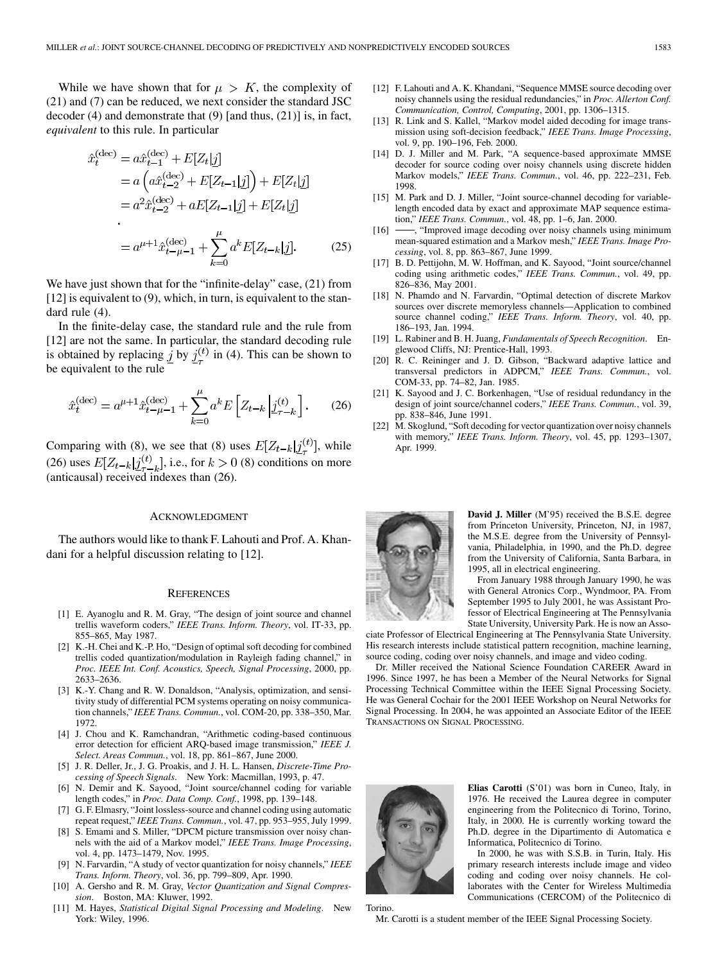<span id="page-8-0"></span>While we have shown that for  $\mu > K$ , the complexity of (21) and (7) can be reduced, we next consider the standard JSC decoder (4) and demonstrate that (9) [and thus, (21)] is, in fact, *equivalent* to this rule. In particular

$$
\hat{x}_t^{(\text{dec})} = a\hat{x}_{t-1}^{(\text{dec})} + E[Z_t|\underline{j}] \n= a \left( a\hat{x}_{t-2}^{(\text{dec})} + E[Z_{t-1}|\underline{j}] \right) + E[Z_t|\underline{j}] \n= a^2 \hat{x}_{t-2}^{(\text{dec})} + aE[Z_{t-1}|\underline{j}] + E[Z_t|\underline{j}] \n= a^{\mu+1} \hat{x}_{t-\mu-1}^{(\text{dec})} + \sum_{k=0}^{\mu} a^k E[Z_{t-k}|\underline{j}].
$$
\n(25)

We have just shown that for the "infinite-delay" case, (21) from  $[12]$  is equivalent to  $(9)$ , which, in turn, is equivalent to the standard rule (4).

In the finite-delay case, the standard rule and the rule from [12] are not the same. In particular, the standard decoding rule is obtained by replacing  $\hat{j}$  by  $\hat{j}^{(t)}$  in (4). This can be shown to be equivalent to the rule

$$
\hat{x}_t^{(\text{dec})} = a^{\mu+1} \hat{x}_{t-\mu-1}^{(\text{dec})} + \sum_{k=0}^{\mu} a^k E\left[Z_{t-k} \left| \underline{j}_{\tau-k}^{(t)} \right. \right]. \tag{26}
$$

Comparing with (8), we see that (8) uses  $E[Z_{t-k}|j_{\tau}^{(t)}]$ , while (26) uses  $E[Z_{t-k}|j_{-k}^{(t)}]$ , i.e., for  $k > 0$  (8) conditions on more (anticausal) received indexes than (26).

#### ACKNOWLEDGMENT

The authors would like to thank F. Lahouti and Prof. A. Khandani for a helpful discussion relating to [12].

#### **REFERENCES**

- [1] E. Ayanoglu and R. M. Gray, "The design of joint source and channel trellis waveform coders," *IEEE Trans. Inform. Theory*, vol. IT-33, pp. 855–865, May 1987.
- [2] K.-H. Chei and K.-P. Ho, "Design of optimal soft decoding for combined trellis coded quantization/modulation in Rayleigh fading channel," in *Proc. IEEE Int. Conf. Acoustics, Speech, Signal Processing*, 2000, pp. 2633–2636.
- [3] K.-Y. Chang and R. W. Donaldson, "Analysis, optimization, and sensitivity study of differential PCM systems operating on noisy communication channels," *IEEE Trans. Commun.*, vol. COM-20, pp. 338–350, Mar. 1972.
- [4] J. Chou and K. Ramchandran, "Arithmetic coding-based continuous error detection for efficient ARQ-based image transmission," *IEEE J. Select. Areas Commun.*, vol. 18, pp. 861–867, June 2000.
- [5] J. R. Deller, Jr., J. G. Proakis, and J. H. L. Hansen, *Discrete-Time Processing of Speech Signals*. New York: Macmillan, 1993, p. 47.
- [6] N. Demir and K. Sayood, "Joint source/channel coding for variable length codes," in *Proc. Data Comp. Conf.*, 1998, pp. 139–148.
- [7] G. F. Elmasry, "Joint lossless-source and channel coding using automatic repeat request," *IEEE Trans. Commun.*, vol. 47, pp. 953–955, July 1999.
- [8] S. Emami and S. Miller, "DPCM picture transmission over noisy channels with the aid of a Markov model," *IEEE Trans. Image Processing*, vol. 4, pp. 1473–1479, Nov. 1995.
- [9] N. Farvardin, "A study of vector quantization for noisy channels," *IEEE Trans. Inform. Theory*, vol. 36, pp. 799–809, Apr. 1990.
- [10] A. Gersho and R. M. Gray, *Vector Quantization and Signal Compression*. Boston, MA: Kluwer, 1992.
- [11] M. Hayes, *Statistical Digital Signal Processing and Modeling*. New York: Wiley, 1996.
- [12] F. Lahouti and A. K. Khandani, "Sequence MMSE source decoding over noisy channels using the residual redundancies," in *Proc. Allerton Conf. Communication, Control, Computing*, 2001, pp. 1306–1315.
- [13] R. Link and S. Kallel, "Markov model aided decoding for image transmission using soft-decision feedback," *IEEE Trans. Image Processing*, vol. 9, pp. 190–196, Feb. 2000.
- [14] D. J. Miller and M. Park, "A sequence-based approximate MMSE decoder for source coding over noisy channels using discrete hidden Markov models," *IEEE Trans. Commun.*, vol. 46, pp. 222–231, Feb. 1998.
- [15] M. Park and D. J. Miller, "Joint source-channel decoding for variablelength encoded data by exact and approximate MAP sequence estimation," *IEEE Trans. Commun.*, vol. 48, pp. 1–6, Jan. 2000.
- [16] -, "Improved image decoding over noisy channels using minimum mean-squared estimation and a Markov mesh," *IEEE Trans. Image Processing*, vol. 8, pp. 863–867, June 1999.
- [17] B. D. Pettijohn, M. W. Hoffman, and K. Sayood, "Joint source/channel coding using arithmetic codes," *IEEE Trans. Commun.*, vol. 49, pp. 826–836, May 2001.
- [18] N. Phamdo and N. Farvardin, "Optimal detection of discrete Markov sources over discrete memoryless channels—Application to combined source channel coding," *IEEE Trans. Inform. Theory*, vol. 40, pp. 186–193, Jan. 1994.
- [19] L. Rabiner and B. H. Juang, *Fundamentals of Speech Recognition*. Englewood Cliffs, NJ: Prentice-Hall, 1993.
- [20] R. C. Reininger and J. D. Gibson, "Backward adaptive lattice and transversal predictors in ADPCM," *IEEE Trans. Commun.*, vol. COM-33, pp. 74–82, Jan. 1985.
- [21] K. Sayood and J. C. Borkenhagen, "Use of residual redundancy in the design of joint source/channel coders," *IEEE Trans. Commun.*, vol. 39, pp. 838–846, June 1991.
- [22] M. Skoglund, "Soft decoding for vector quantization over noisy channels with memory," *IEEE Trans. Inform. Theory*, vol. 45, pp. 1293–1307, Apr. 1999.



**David J. Miller** (M'95) received the B.S.E. degree from Princeton University, Princeton, NJ, in 1987, the M.S.E. degree from the University of Pennsylvania, Philadelphia, in 1990, and the Ph.D. degree from the University of California, Santa Barbara, in 1995, all in electrical engineering.

From January 1988 through January 1990, he was with General Atronics Corp., Wyndmoor, PA. From September 1995 to July 2001, he was Assistant Professor of Electrical Engineering at The Pennsylvania State University, University Park. He is now an Asso-

ciate Professor of Electrical Engineering at The Pennsylvania State University. His research interests include statistical pattern recognition, machine learning, source coding, coding over noisy channels, and image and video coding.

Dr. Miller received the National Science Foundation CAREER Award in 1996. Since 1997, he has been a Member of the Neural Networks for Signal Processing Technical Committee within the IEEE Signal Processing Society. He was General Cochair for the 2001 IEEE Workshop on Neural Networks for Signal Processing. In 2004, he was appointed an Associate Editor of the IEEE TRANSACTIONS ON SIGNAL PROCESSING.



Torino.

**Elias Carotti** (S'01) was born in Cuneo, Italy, in 1976. He received the Laurea degree in computer engineering from the Politecnico di Torino, Torino, Italy, in 2000. He is currently working toward the Ph.D. degree in the Dipartimento di Automatica e Informatica, Politecnico di Torino.

In 2000, he was with S.S.B. in Turin, Italy. His primary research interests include image and video coding and coding over noisy channels. He collaborates with the Center for Wireless Multimedia Communications (CERCOM) of the Politecnico di

Mr. Carotti is a student member of the IEEE Signal Processing Society.